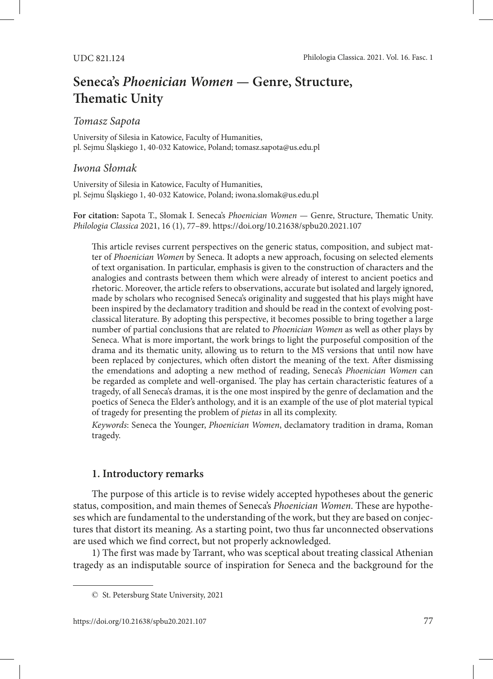# **Seneca's** *Phoenician Women* **— Genre, Structure, Thematic Unity**

## *Tomasz Sapota*

University of Silesia in Katowice, Faculty of Humanities, pl. Sejmu Śląskiego 1, 40-032 Katowice, Poland; tomasz.sapota@us.edu.pl

### *Iwona Słomak*

University of Silesia in Katowice, Faculty of Humanities, pl. Sejmu Śląskiego 1, 40-032 Katowice, Poland; iwona.slomak@us.edu.pl

**For citation:** Sapota T., Słomak I. Seneca's *Phoenician Women* — Genre, Structure, Thematic Unity. *Philologia Classica* 2021, 16 (1), 77–89.<https://doi.org/10.21638/spbu20.2021.107>

This article revises current perspectives on the generic status, composition, and subject matter of *Phoenician Women* by Seneca. It adopts a new approach, focusing on selected elements of text organisation. In particular, emphasis is given to the construction of characters and the analogies and contrasts between them which were already of interest to ancient poetics and rhetoric. Moreover, the article refers to observations, accurate but isolated and largely ignored, made by scholars who recognised Seneca's originality and suggested that his plays might have been inspired by the declamatory tradition and should be read in the context of evolving postclassical literature. By adopting this perspective, it becomes possible to bring together a large number of partial conclusions that are related to *Phoenician Women* as well as other plays by Seneca. What is more important, the work brings to light the purposeful composition of the drama and its thematic unity, allowing us to return to the MS versions that until now have been replaced by conjectures, which often distort the meaning of the text. After dismissing the emendations and adopting a new method of reading, Seneca's *Phoenician Women* can be regarded as complete and well-organised. The play has certain characteristic features of a tragedy, of all Seneca's dramas, it is the one most inspired by the genre of declamation and the poetics of Seneca the Elder's anthology, and it is an example of the use of plot material typical of tragedy for presenting the problem of *pietas* in all its complexity.

*Keywords*: Seneca the Younger, *Phoenician Women*, declamatory tradition in drama, Roman tragedy.

## **1. Introductory remarks**

The purpose of this article is to revise widely accepted hypotheses about the generic status, composition, and main themes of Seneca's *Phoenician Women*. These are hypotheses which are fundamental to the understanding of the work, but they are based on conjectures that distort its meaning. As a starting point, two thus far unconnected observations are used which we find correct, but not properly acknowledged.

1) The first was made by Tarrant, who was sceptical about treating classical Athenian tragedy as an indisputable source of inspiration for Seneca and the background for the

<sup>©</sup> St. Petersburg State University, 2021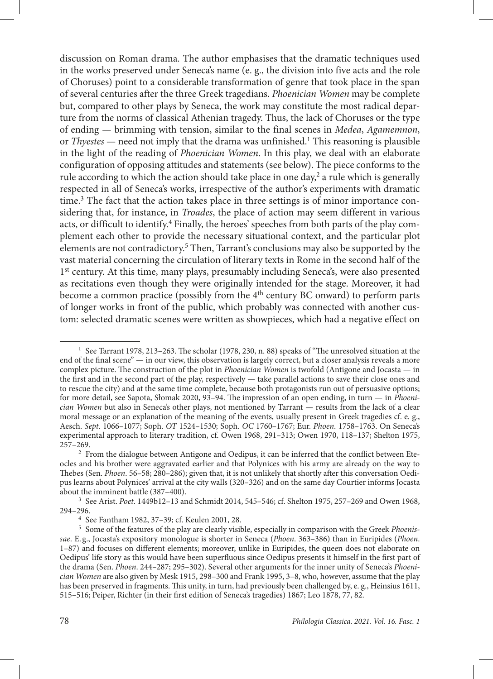discussion on Roman drama. The author emphasises that the dramatic techniques used in the works preserved under Seneca's name (e. g., the division into five acts and the role of Choruses) point to a considerable transformation of genre that took place in the span of several centuries after the three Greek tragedians. *Phoenician Women* may be complete but, compared to other plays by Seneca, the work may constitute the most radical departure from the norms of classical Athenian tragedy. Thus, the lack of Choruses or the type of ending — brimming with tension, similar to the final scenes in *Medea*, *Agamemnon*, or *Thyestes* — need not imply that the drama was unfinished.<sup>1</sup> This reasoning is plausible in the light of the reading of *Phoenician Women*. In this play, we deal with an elaborate configuration of opposing attitudes and statements (see below). The piece conforms to the rule according to which the action should take place in one day, $2$  a rule which is generally respected in all of Seneca's works, irrespective of the author's experiments with dramatic time.<sup>3</sup> The fact that the action takes place in three settings is of minor importance considering that, for instance, in *Troades*, the place of action may seem different in various acts, or difficult to identify.<sup>4</sup> Finally, the heroes' speeches from both parts of the play complement each other to provide the necessary situational context, and the particular plot elements are not contradictory.<sup>5</sup> Then, Tarrant's conclusions may also be supported by the vast material concerning the circulation of literary texts in Rome in the second half of the 1<sup>st</sup> century. At this time, many plays, presumably including Seneca's, were also presented as recitations even though they were originally intended for the stage. Moreover, it had become a common practice (possibly from the 4<sup>th</sup> century BC onward) to perform parts of longer works in front of the public, which probably was connected with another custom: selected dramatic scenes were written as showpieces, which had a negative effect on

<sup>&</sup>lt;sup>1</sup> See Tarrant 1978, 213–263. The scholar (1978, 230, n. 88) speaks of "The unresolved situation at the end of the final scene" — in our view, this observation is largely correct, but a closer analysis reveals a more complex picture. The construction of the plot in *Phoenician Women* is twofold (Antigone and Jocasta — in the first and in the second part of the play, respectively — take parallel actions to save their close ones and to rescue the city) and at the same time complete, because both protagonists run out of persuasive options; for more detail, see Sapota, Słomak 2020, 93–94. The impression of an open ending, in turn — in *Phoenician Women* but also in Seneca's other plays, not mentioned by Tarrant — results from the lack of a clear moral message or an explanation of the meaning of the events, usually present in Greek tragedies cf. e. g., Aesch. *Sept*. 1066–1077; Soph. *OT* 1524–1530; Soph. *OC* 1760–1767; Eur. *Phoen*. 1758–1763. On Seneca's experimental approach to literary tradition, cf. Owen 1968, 291–313; Owen 1970, 118–137; Shelton 1975, 257–269.

<sup>&</sup>lt;sup>2</sup> From the dialogue between Antigone and Oedipus, it can be inferred that the conflict between Eteocles and his brother were aggravated earlier and that Polynices with his army are already on the way to Thebes (Sen. *Phoen*. 56–58; 280–286); given that, it is not unlikely that shortly after this conversation Oedipus learns about Polynices' arrival at the city walls (320–326) and on the same day Courtier informs Jocasta about the imminent battle (387–400).

<sup>3</sup> See Arist. *Poet*. 1449b12–13 and Schmidt 2014, 545–546; cf. Shelton 1975, 257–269 and Owen 1968, 294–296.

<sup>4</sup> See Fantham 1982, 37–39; cf. Keulen 2001, 28.

<sup>5</sup> Some of the features of the play are clearly visible, especially in comparison with the Greek *Phoenissae*. E. g., Jocasta's expository monologue is shorter in Seneca (*Phoen*. 363–386) than in Euripides (*Phoen*. 1–87) and focuses on different elements; moreover, unlike in Euripides, the queen does not elaborate on Oedipus' life story as this would have been superfluous since Oedipus presents it himself in the first part of the drama (Sen. *Phoen*. 244–287; 295–302). Several other arguments for the inner unity of Seneca's *Phoenician Women* are also given by Mesk 1915, 298–300 and Frank 1995, 3–8, who, however, assume that the play has been preserved in fragments. This unity, in turn, had previously been challenged by, e. g., Heinsius 1611, 515–516; Peiper, Richter (in their first edition of Seneca's tragedies) 1867; Leo 1878, 77, 82.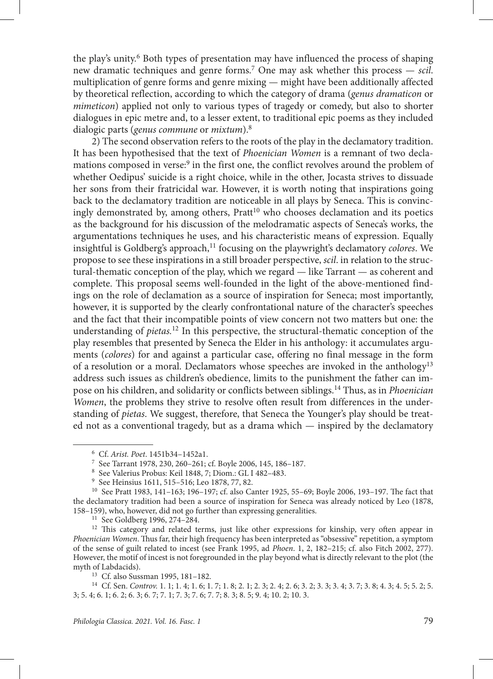the play's unity.<sup>6</sup> Both types of presentation may have influenced the process of shaping new dramatic techniques and genre forms.7 One may ask whether this process — *scil*. multiplication of genre forms and genre mixing — might have been additionally affected by theoretical reflection, according to which the category of drama (*genus dramaticon* or *mimeticon*) applied not only to various types of tragedy or comedy, but also to shorter dialogues in epic metre and, to a lesser extent, to traditional epic poems as they included dialogic parts (*genus commune* or *mixtum*).8

2) The second observation refers to the roots of the play in the declamatory tradition. It has been hypothesised that the text of *Phoenician Women* is a remnant of two declamations composed in verse:<sup>9</sup> in the first one, the conflict revolves around the problem of whether Oedipus' suicide is a right choice, while in the other, Jocasta strives to dissuade her sons from their fratricidal war. However, it is worth noting that inspirations going back to the declamatory tradition are noticeable in all plays by Seneca. This is convincingly demonstrated by, among others, Pratt<sup>10</sup> who chooses declamation and its poetics as the background for his discussion of the melodramatic aspects of Seneca's works, the argumentations techniques he uses, and his characteristic means of expression. Equally insightful is Goldberg's approach,<sup>11</sup> focusing on the playwright's declamatory *colores*. We propose to see these inspirations in a still broader perspective, *scil*. in relation to the structural-thematic conception of the play, which we regard — like Tarrant — as coherent and complete. This proposal seems well-founded in the light of the above-mentioned findings on the role of declamation as a source of inspiration for Seneca; most importantly, however, it is supported by the clearly confrontational nature of the character's speeches and the fact that their incompatible points of view concern not two matters but one: the understanding of *pietas.*12 In this perspective, the structural-thematic conception of the play resembles that presented by Seneca the Elder in his anthology: it accumulates arguments (*colores*) for and against a particular case, offering no final message in the form of a resolution or a moral. Declamators whose speeches are invoked in the anthology<sup>13</sup> address such issues as children's obedience, limits to the punishment the father can impose on his children, and solidarity or conflicts between siblings.14 Thus, as in *Phoenician Women*, the problems they strive to resolve often result from differences in the understanding of *pietas*. We suggest, therefore, that Seneca the Younger's play should be treated not as a conventional tragedy, but as a drama which — inspired by the declamatory

<sup>6</sup> Cf. *Arist. Poet*. 1451b34–1452a1.

<sup>7</sup> See Tarrant 1978, 230, 260–261; cf. Boyle 2006, 145, 186–187. 8 See Valerius Probus: Keil 1848, 7; Diom.: GL I 482–483.

<sup>9</sup> See Heinsius 1611, 515–516; Leo 1878, 77, 82.

<sup>10</sup> See Pratt 1983, 141–163; 196–197; cf. also Canter 1925, 55–69; Boyle 2006, 193–197. The fact that the declamatory tradition had been a source of inspiration for Seneca was already noticed by Leo (1878, 158–159), who, however, did not go further than expressing generalities.<br><sup>11</sup> See Goldberg 1996, 274–284.

<sup>&</sup>lt;sup>12</sup> This category and related terms, just like other expressions for kinship, very often appear in *Phoenician Women*. Thus far, their high frequency has been interpreted as "obsessive" repetition, a symptom of the sense of guilt related to incest (see Frank 1995, ad *Phoen*. 1, 2, 182–215; cf. also Fitch 2002, 277). However, the motif of incest is not foregrounded in the play beyond what is directly relevant to the plot (the

<sup>&</sup>lt;sup>13</sup> Cf. also Sussman 1995, 181-182.

<sup>14</sup> Cf. Sen. *Controv.* 1. 1; 1. 4; 1. 6; 1. 7; 1. 8; 2. 1; 2. 3; 2. 4; 2. 6; 3. 2; 3. 3; 3. 4; 3. 7; 3. 8; 4. 3; 4. 5; 5. 2; 5. 3; 5. 4; 6. 1; 6. 2; 6. 3; 6. 7; 7. 1; 7. 3; 7. 6; 7. 7; 8. 3; 8. 5; 9. 4; 10. 2; 10. 3.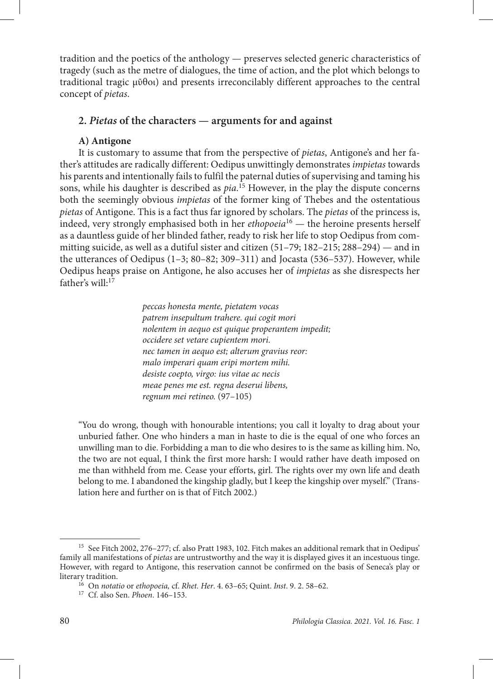tradition and the poetics of the anthology — preserves selected generic characteristics of tragedy (such as the metre of dialogues, the time of action, and the plot which belongs to traditional tragic μῦθοι) and presents irreconcilably different approaches to the central concept of *pietas*.

# **2.** *Pietas* **of the characters — arguments for and against**

## **A) Antigone**

It is customary to assume that from the perspective of *pietas*, Antigone's and her father's attitudes are radically different: Oedipus unwittingly demonstrates *impietas* towards his parents and intentionally fails to fulfil the paternal duties of supervising and taming his sons, while his daughter is described as *pia*. 15 However, in the play the dispute concerns both the seemingly obvious *impietas* of the former king of Thebes and the ostentatious *pietas* of Antigone. This is a fact thus far ignored by scholars. The *pietas* of the princess is, indeed, very strongly emphasised both in her *ethopoeia*16 — the heroine presents herself as a dauntless guide of her blinded father, ready to risk her life to stop Oedipus from committing suicide, as well as a dutiful sister and citizen (51–79; 182–215; 288–294) — and in the utterances of Oedipus  $(1-3; 80-82; 309-311)$  and Jocasta (536–537). However, while Oedipus heaps praise on Antigone, he also accuses her of *impietas* as she disrespects her father's will:<sup>17</sup>

> *peccas honesta mente, pietatem vocas patrem insepultum trahere. qui cogit mori nolentem in aequo est quique properantem impedit; occidere set vetare cupientem mori. nec tamen in aequo est; alterum gravius reor: malo imperari quam eripi mortem mihi. desiste coepto, virgo: ius vitae ac necis meae penes me est. regna deserui libens, regnum mei retineo.* (97–105)

"You do wrong, though with honourable intentions; you call it loyalty to drag about your unburied father. One who hinders a man in haste to die is the equal of one who forces an unwilling man to die. Forbidding a man to die who desires to is the same as killing him. No, the two are not equal, I think the first more harsh: I would rather have death imposed on me than withheld from me. Cease your efforts, girl. The rights over my own life and death belong to me. I abandoned the kingship gladly, but I keep the kingship over myself." (Translation here and further on is that of Fitch 2002.)

<sup>&</sup>lt;sup>15</sup> See Fitch 2002, 276–277; cf. also Pratt 1983, 102. Fitch makes an additional remark that in Oedipus' family all manifestations of *pietas* are untrustworthy and the way it is displayed gives it an incestuous tinge. However, with regard to Antigone, this reservation cannot be confirmed on the basis of Seneca's play or

literary tradition. 16 On *notatio* or *ethopoeia,* cf. *Rhet. Her*. 4. 63–65; Quint. *Inst*. 9. 2. 58–62.

<sup>17</sup> Cf. also Sen. *Phoen*. 146–153.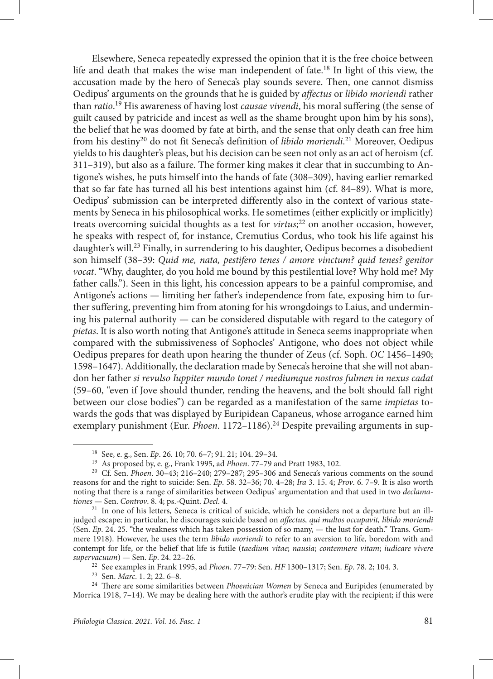Elsewhere, Seneca repeatedly expressed the opinion that it is the free choice between life and death that makes the wise man independent of fate.18 In light of this view, the accusation made by the hero of Seneca's play sounds severe. Then, one cannot dismiss Oedipus' arguments on the grounds that he is guided by *affectus* or *libido moriendi* rather than *ratio*. 19 His awareness of having lost *causae vivendi*, his moral suffering (the sense of guilt caused by patricide and incest as well as the shame brought upon him by his sons), the belief that he was doomed by fate at birth, and the sense that only death can free him from his destiny20 do not fit Seneca's definition of *libido moriendi*. 21 Moreover, Oedipus yields to his daughter's pleas, but his decision can be seen not only as an act of heroism (cf. 311–319), but also as a failure. The former king makes it clear that in succumbing to Antigone's wishes, he puts himself into the hands of fate (308–309), having earlier remarked that so far fate has turned all his best intentions against him (cf. 84–89). What is more, Oedipus' submission can be interpreted differently also in the context of various statements by Seneca in his philosophical works. He sometimes (either explicitly or implicitly) treats overcoming suicidal thoughts as a test for *virtus*; 22 on another occasion, however, he speaks with respect of, for instance, Cremutius Cordus, who took his life against his daughter's will.<sup>23</sup> Finally, in surrendering to his daughter, Oedipus becomes a disobedient son himself (38–39: *Quid me, nata, pestifero tenes / amore vinctum? quid tenes? genitor vocat*. "Why, daughter, do you hold me bound by this pestilential love? Why hold me? My father calls."). Seen in this light, his concession appears to be a painful compromise, and Antigone's actions — limiting her father's independence from fate, exposing him to further suffering, preventing him from atoning for his wrongdoings to Laius, and undermining his paternal authority — can be considered disputable with regard to the category of *pietas*. It is also worth noting that Antigone's attitude in Seneca seems inappropriate when compared with the submissiveness of Sophocles' Antigone, who does not object while Oedipus prepares for death upon hearing the thunder of Zeus (cf. Soph. *OC* 1456–1490; 1598–1647). Additionally, the declaration made by Seneca's heroine that she will not abandon her father *si revulso Iuppiter mundo tonet / mediumque nostros fulmen in nexus cadat* (59–60, "even if Jove should thunder, rending the heavens, and the bolt should fall right between our close bodies") can be regarded as a manifestation of the same *impietas* towards the gods that was displayed by Euripidean Capaneus, whose arrogance earned him exemplary punishment (Eur. *Phoen*. 1172–1186).24 Despite prevailing arguments in sup-

<sup>18</sup> See, e. g., Sen. *Ep*. 26. 10; 70. 6–7; 91. 21; 104. 29–34.

<sup>19</sup> As proposed by, e. g., Frank 1995, ad *Phoen*. 77–79 and Pratt 1983, 102.

<sup>20</sup> Cf. Sen. *Phoen*. 30–43; 216–240; 279–287; 295–306 and Seneca's various comments on the sound reasons for and the right to suicide: Sen. *Ep*. 58. 32–36; 70. 4–28; *Ira* 3. 15. 4; *Prov*. 6. 7–9. It is also worth noting that there is a range of similarities between Oedipus' argumentation and that used in two *declamationes* — Sen. *Controv*. 8. 4; ps.-Quint. *Decl*. 4.

<sup>21</sup> In one of his letters, Seneca is critical of suicide, which he considers not a departure but an illjudged escape; in particular, he discourages suicide based on *affectus, qui multos occupavit, libido moriendi* (Sen. *Ep*. 24. 25. "the weakness which has taken possession of so many, — the lust for death." Trans. Gummere 1918). However, he uses the term *libido moriendi* to refer to an aversion to life, boredom with and contempt for life, or the belief that life is futile (*taedium vitae*; *nausia*; *contemnere vitam*; *iudicare vivere supervacuum*) — Sen. *Ep*. 24. 22–26.

<sup>22</sup> See examples in Frank 1995, ad *Phoen*. 77–79: Sen. *HF* 1300–1317; Sen. *Ep*. 78. 2; 104. 3. 23 Sen. *Marc*. 1. 2; 22. 6–8.

<sup>24</sup> There are some similarities between *Phoenician Women* by Seneca and Euripides (enumerated by Morrica 1918, 7–14). We may be dealing here with the author's erudite play with the recipient; if this were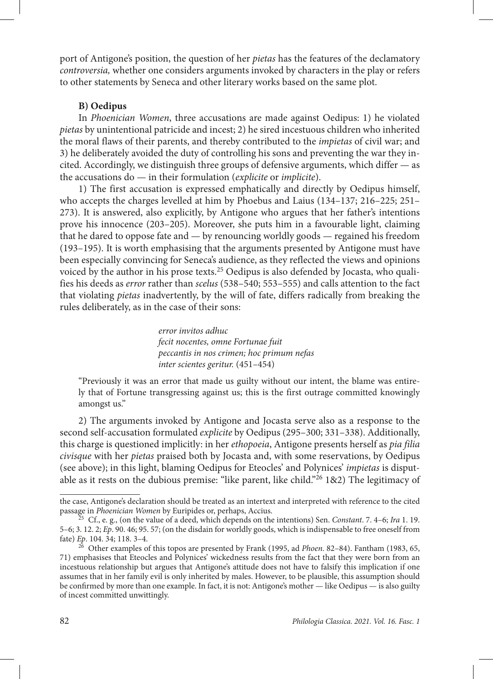port of Antigone's position, the question of her *pietas* has the features of the declamatory *controversia,* whether one considers arguments invoked by characters in the play or refers to other statements by Seneca and other literary works based on the same plot.

### **B) Oedipus**

In *Phoenician Women*, three accusations are made against Oedipus: 1) he violated *pietas* by unintentional patricide and incest; 2) he sired incestuous children who inherited the moral flaws of their parents, and thereby contributed to the *impietas* of civil war; and 3) he deliberately avoided the duty of controlling his sons and preventing the war they incited. Accordingly, we distinguish three groups of defensive arguments, which differ — as the accusations do — in their formulation (*explicite* or *implicite*).

1) The first accusation is expressed emphatically and directly by Oedipus himself, who accepts the charges levelled at him by Phoebus and Laius (134–137; 216–225; 251– 273). It is answered, also explicitly, by Antigone who argues that her father's intentions prove his innocence (203–205). Moreover, she puts him in a favourable light, claiming that he dared to oppose fate and — by renouncing worldly goods — regained his freedom (193–195). It is worth emphasising that the arguments presented by Antigone must have been especially convincing for Seneca's audience, as they reflected the views and opinions voiced by the author in his prose texts.<sup>25</sup> Oedipus is also defended by Jocasta, who qualifies his deeds as *error* rather than *scelus* (538–540; 553–555) and calls attention to the fact that violating *pietas* inadvertently, by the will of fate, differs radically from breaking the rules deliberately, as in the case of their sons:

> *error invitos adhuc fecit nocentes, omne Fortunae fuit peccantis in nos crimen; hoc primum nefas inter scientes geritur.* (451–454)

"Previously it was an error that made us guilty without our intent, the blame was entirely that of Fortune transgressing against us; this is the first outrage committed knowingly amongst us."

2) The arguments invoked by Antigone and Jocasta serve also as a response to the second self-accusation formulated *explicite* by Oedipus (295–300; 331–338). Additionally, this charge is questioned implicitly: in her *ethopoeia*, Antigone presents herself as *pia filia civisque* with her *pietas* praised both by Jocasta and, with some reservations, by Oedipus (see above); in this light, blaming Oedipus for Eteocles' and Polynices' *impietas* is disputable as it rests on the dubious premise: "like parent, like child."<sup>26</sup> 1&2) The legitimacy of

the case, Antigone's declaration should be treated as an intertext and interpreted with reference to the cited<br>passage in *Phoenician Women* by Euripides or, perhaps, Accius.

passage in *Phoenician Women* by Euripides or, perhaps, Accius. 25 Cf., e. g., (on the value of a deed, which depends on the intentions) Sen. *Constant*. 7. 4–6; *Ira* 1. 19. 5–6; 3. 12. 2; *Ep*. 90. 46; 95. 57; (on the disdain for worldly goods, which is indispensable to free oneself from fate) *Ep*. 104. 34; 118. 3–4.

<sup>26</sup> Other examples of this topos are presented by Frank (1995, ad *Phoen*. 82–84). Fantham (1983, 65, 71) emphasises that Eteocles and Polynices' wickedness results from the fact that they were born from an incestuous relationship but argues that Antigone's attitude does not have to falsify this implication if one assumes that in her family evil is only inherited by males. However, to be plausible, this assumption should be confirmed by more than one example. In fact, it is not: Antigone's mother — like Oedipus — is also guilty of incest committed unwittingly.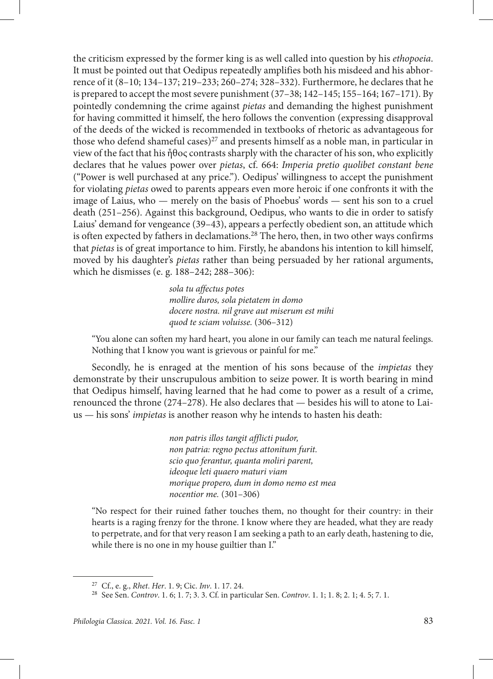the criticism expressed by the former king is as well called into question by his *ethopoeia*. It must be pointed out that Oedipus repeatedly amplifies both his misdeed and his abhorrence of it (8–10; 134–137; 219–233; 260–274; 328–332). Furthermore, he declares that he is prepared to accept the most severe punishment (37–38; 142–145; 155–164; 167–171). By pointedly condemning the crime against *pietas* and demanding the highest punishment for having committed it himself, the hero follows the convention (expressing disapproval of the deeds of the wicked is recommended in textbooks of rhetoric as advantageous for those who defend shameful cases)<sup>27</sup> and presents himself as a noble man, in particular in view of the fact that his ἦθος contrasts sharply with the character of his son, who explicitly declares that he values power over *pietas*, cf. 664: *Imperia pretio quolibet constant bene* ("Power is well purchased at any price."). Oedipus' willingness to accept the punishment for violating *pietas* owed to parents appears even more heroic if one confronts it with the image of Laius, who — merely on the basis of Phoebus' words — sent his son to a cruel death (251–256). Against this background, Oedipus, who wants to die in order to satisfy Laius' demand for vengeance (39–43), appears a perfectly obedient son, an attitude which is often expected by fathers in declamations.28 The hero, then, in two other ways confirms that *pietas* is of great importance to him. Firstly, he abandons his intention to kill himself, moved by his daughter's *pietas* rather than being persuaded by her rational arguments, which he dismisses (e. g. 188–242; 288–306):

> *sola tu affectus potes mollire duros, sola pietatem in domo docere nostra. nil grave aut miserum est mihi quod te sciam voluisse.* (306–312)

"You alone can soften my hard heart, you alone in our family can teach me natural feelings. Nothing that I know you want is grievous or painful for me."

Secondly, he is enraged at the mention of his sons because of the *impietas* they demonstrate by their unscrupulous ambition to seize power. It is worth bearing in mind that Oedipus himself, having learned that he had come to power as a result of a crime, renounced the throne (274–278). He also declares that — besides his will to atone to Laius — his sons' *impietas* is another reason why he intends to hasten his death:

> *non patris illos tangit afflicti pudor, non patria: regno pectus attonitum furit. scio quo ferantur, quanta moliri parent, ideoque leti quaero maturi viam morique propero, dum in domo nemo est mea nocentior me.* (301–306)

"No respect for their ruined father touches them, no thought for their country: in their hearts is a raging frenzy for the throne. I know where they are headed, what they are ready to perpetrate, and for that very reason I am seeking a path to an early death, hastening to die, while there is no one in my house guiltier than I."

<sup>27</sup> Cf., e. g., *Rhet*. *Her*. 1. 9; Cic. *Inv*. 1. 17. 24.

<sup>28</sup> See Sen. *Controv*. 1. 6; 1. 7; 3. 3. Cf. in particular Sen. *Controv*. 1. 1; 1. 8; 2. 1; 4. 5; 7. 1.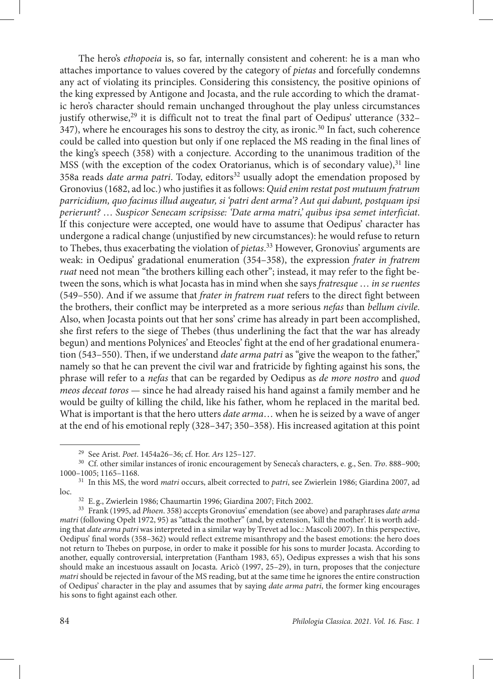The hero's *ethopoeia* is, so far, internally consistent and coherent: he is a man who attaches importance to values covered by the category of *pietas* and forcefully condemns any act of violating its principles. Considering this consistency, the positive opinions of the king expressed by Antigone and Jocasta, and the rule according to which the dramatic hero's character should remain unchanged throughout the play unless circumstances justify otherwise,<sup>29</sup> it is difficult not to treat the final part of Oedipus' utterance  $(332-$ 347), where he encourages his sons to destroy the city, as ironic.30 In fact, such coherence could be called into question but only if one replaced the MS reading in the final lines of the king's speech (358) with a conjecture. According to the unanimous tradition of the MSS (with the exception of the codex Oratorianus, which is of secondary value), $31$  line 358a reads *date arma patri*. Today, editors<sup>32</sup> usually adopt the emendation proposed by Gronovius (1682, ad loc.) who justifies it as follows: *Quid enim restat post mutuum fratrum parricidium, quo facinus illud augeatur, si 'patri dent arma'? Aut qui dabunt, postquam ipsi perierunt?* … *Suspicor Senecam scripsisse: 'Date arma matri,' quibus ipsa semet interficiat*. If this conjecture were accepted, one would have to assume that Oedipus' character has undergone a radical change (unjustified by new circumstances): he would refuse to return to Thebes, thus exacerbating the violation of *pietas*. 33 However, Gronovius' arguments are weak: in Oedipus' gradational enumeration (354–358), the expression *frater in fratrem ruat* need not mean "the brothers killing each other"; instead, it may refer to the fight between the sons, which is what Jocasta has in mind when she says *fratresque* … *in se ruentes* (549–550). And if we assume that *frater in fratrem ruat* refers to the direct fight between the brothers, their conflict may be interpreted as a more serious *nefas* than *bellum civile*. Also, when Jocasta points out that her sons' crime has already in part been accomplished, she first refers to the siege of Thebes (thus underlining the fact that the war has already begun) and mentions Polynices' and Eteocles' fight at the end of her gradational enumeration (543–550). Then, if we understand *date arma patri* as "give the weapon to the father," namely so that he can prevent the civil war and fratricide by fighting against his sons, the phrase will refer to a *nefas* that can be regarded by Oedipus as *de more nostro* and *quod meos deceat toros* — since he had already raised his hand against a family member and he would be guilty of killing the child, like his father, whom he replaced in the marital bed. What is important is that the hero utters *date arma*… when he is seized by a wave of anger at the end of his emotional reply (328–347; 350–358). His increased agitation at this point

<sup>29</sup> See Arist. *Poet*. 1454a26–36; cf. Hor. *Ars* 125–127.

<sup>30</sup> Cf. other similar instances of ironic encouragement by Seneca's characters, e. g., Sen. *Tro*. 888–900; 1000–1005; 1165–1168.

<sup>31</sup> In this MS, the word *matri* occurs, albeit corrected to *patri*, see Zwierlein 1986; Giardina 2007, ad loc.

<sup>32</sup> E. g., Zwierlein 1986; Chaumartin 1996; Giardina 2007; Fitch 2002.

<sup>33</sup> Frank (1995, ad *Phoen*. 358) accepts Gronovius' emendation (see above) and paraphrases *date arma matri* (following Opelt 1972, 95) as "attack the mother" (and, by extension, 'kill the mother'. It is worth adding that *date arma patri* was interpreted in a similar way by Trevet ad loc.: Mascoli 2007). In this perspective, Oedipus' final words (358–362) would reflect extreme misanthropy and the basest emotions: the hero does not return to Thebes on purpose, in order to make it possible for his sons to murder Jocasta. According to another, equally controversial, interpretation (Fantham 1983, 65), Oedipus expresses a wish that his sons should make an incestuous assault on Jocasta. Aricò (1997, 25–29), in turn, proposes that the conjecture *matri* should be rejected in favour of the MS reading, but at the same time he ignores the entire construction of Oedipus' character in the play and assumes that by saying *date arma patri*, the former king encourages his sons to fight against each other.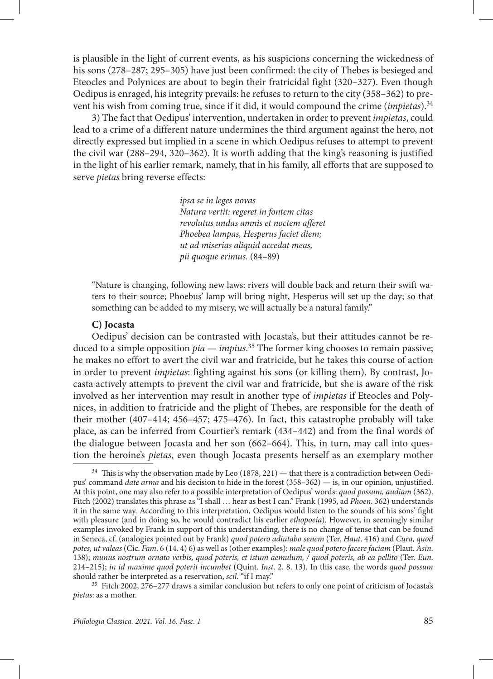is plausible in the light of current events, as his suspicions concerning the wickedness of his sons (278–287; 295–305) have just been confirmed: the city of Thebes is besieged and Eteocles and Polynices are about to begin their fratricidal fight (320–327). Even though Oedipus is enraged, his integrity prevails: he refuses to return to the city (358–362) to prevent his wish from coming true, since if it did, it would compound the crime (*impietas*).34

3) The fact that Oedipus' intervention, undertaken in order to prevent *impietas*, could lead to a crime of a different nature undermines the third argument against the hero, not directly expressed but implied in a scene in which Oedipus refuses to attempt to prevent the civil war (288–294, 320–362). It is worth adding that the king's reasoning is justified in the light of his earlier remark, namely, that in his family, all efforts that are supposed to serve *pietas* bring reverse effects:

> *ipsa se in leges novas Natura vertit: regeret in fontem citas revolutus undas amnis et noctem afferet Phoebea lampas, Hesperus faciet diem; ut ad miserias aliquid accedat meas, pii quoque erimus.* (84–89)

"Nature is changing, following new laws: rivers will double back and return their swift waters to their source; Phoebus' lamp will bring night, Hesperus will set up the day; so that something can be added to my misery, we will actually be a natural family."

#### **C) Jocasta**

Oedipus' decision can be contrasted with Jocasta's, but their attitudes cannot be reduced to a simple opposition *pia* — *impius*. 35 The former king chooses to remain passive; he makes no effort to avert the civil war and fratricide, but he takes this course of action in order to prevent *impietas*: fighting against his sons (or killing them). By contrast, Jocasta actively attempts to prevent the civil war and fratricide, but she is aware of the risk involved as her intervention may result in another type of *impietas* if Eteocles and Polynices, in addition to fratricide and the plight of Thebes, are responsible for the death of their mother (407–414; 456–457; 475–476). In fact, this catastrophe probably will take place, as can be inferred from Courtier's remark (434–442) and from the final words of the dialogue between Jocasta and her son (662–664). This, in turn, may call into question the heroine's *pietas*, even though Jocasta presents herself as an exemplary mother

<sup>&</sup>lt;sup>34</sup> This is why the observation made by Leo (1878, 221) — that there is a contradiction between Oedipus' command *date arma* and his decision to hide in the forest (358–362) — is, in our opinion, unjustified. At this point, one may also refer to a possible interpretation of Oedipus' words: *quod possum, audiam* (362). Fitch (2002) translates this phrase as "I shall … hear as best I can." Frank (1995, ad *Phoen*. 362) understands it in the same way. According to this interpretation, Oedipus would listen to the sounds of his sons' fight with pleasure (and in doing so, he would contradict his earlier *ethopoeia*). However, in seemingly similar examples invoked by Frank in support of this understanding, there is no change of tense that can be found in Seneca, cf. (analogies pointed out by Frank) *quod potero adiutabo senem* (Ter. *Haut*. 416) and *Cura, quod potes, ut valeas* (Cic. *Fam*. 6 (14. 4) 6) as well as (other examples): *male quod potero facere faciam* (Plaut. *Asin*. 138); *munus nostrum ornato verbis, quod poteris, et istum aemulum, / quod poteris, ab ea pellito* (Ter. *Eun*. 214–215); *in id maxime quod poterit incumbet* (Quint. *Inst*. 2. 8. 13). In this case, the words *quod possum* should rather be interpreted as a reservation, *scil*. "if I may."

<sup>35</sup> Fitch 2002, 276–277 draws a similar conclusion but refers to only one point of criticism of Jocasta's *pietas*: as a mother.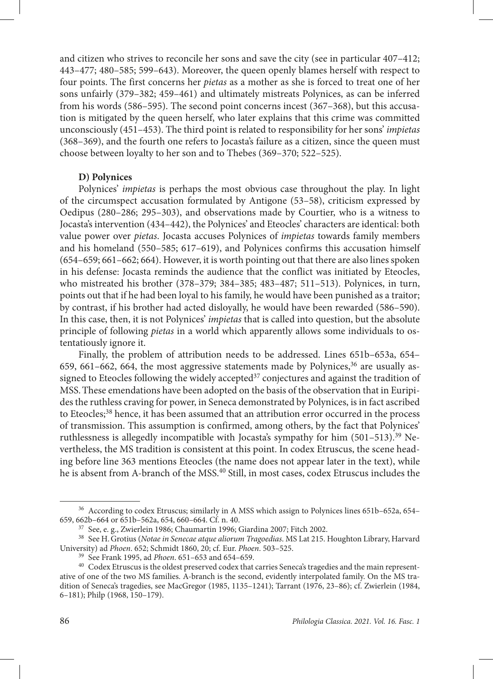and citizen who strives to reconcile her sons and save the city (see in particular 407–412; 443–477; 480–585; 599–643). Moreover, the queen openly blames herself with respect to four points. The first concerns her *pietas* as a mother as she is forced to treat one of her sons unfairly (379–382; 459–461) and ultimately mistreats Polynices, as can be inferred from his words (586–595). The second point concerns incest (367–368), but this accusation is mitigated by the queen herself, who later explains that this crime was committed unconsciously (451–453). The third point is related to responsibility for her sons' *impietas* (368–369), and the fourth one refers to Jocasta's failure as a citizen, since the queen must choose between loyalty to her son and to Thebes (369–370; 522–525).

#### **D) Polynices**

Polynices' *impietas* is perhaps the most obvious case throughout the play. In light of the circumspect accusation formulated by Antigone (53–58), criticism expressed by Oedipus (280–286; 295–303), and observations made by Courtier, who is a witness to Jocasta's intervention (434–442), the Polynices' and Eteocles' characters are identical: both value power over *pietas*. Jocasta accuses Polynices of *impietas* towards family members and his homeland (550–585; 617–619), and Polynices confirms this accusation himself (654–659; 661–662; 664). However, it is worth pointing out that there are also lines spoken in his defense: Jocasta reminds the audience that the conflict was initiated by Eteocles, who mistreated his brother (378–379; 384–385; 483–487; 511–513). Polynices, in turn, points out that if he had been loyal to his family, he would have been punished as a traitor; by contrast, if his brother had acted disloyally, he would have been rewarded (586–590). In this case, then, it is not Polynices' *impietas* that is called into question, but the absolute principle of following *pietas* in a world which apparently allows some individuals to ostentatiously ignore it.

Finally, the problem of attribution needs to be addressed. Lines 651b–653a, 654– 659, 661–662, 664, the most aggressive statements made by Polynices, $36$  are usually assigned to Eteocles following the widely accepted<sup>37</sup> conjectures and against the tradition of MSS.These emendations have been adopted on the basis of the observation that in Euripides the ruthless craving for power, in Seneca demonstrated by Polynices, is in fact ascribed to Eteocles;<sup>38</sup> hence, it has been assumed that an attribution error occurred in the process of transmission. This assumption is confirmed, among others, by the fact that Polynices' ruthlessness is allegedly incompatible with Jocasta's sympathy for him (501-513).<sup>39</sup> Nevertheless, the MS tradition is consistent at this point. In codex Etruscus, the scene heading before line 363 mentions Eteocles (the name does not appear later in the text), while he is absent from A-branch of the MSS.40 Still, in most cases, codex Etruscus includes the

 $^{36}$  According to codex Etruscus; similarly in A MSS which assign to Polynices lines 651b–652a, 654–659, 662b–664 or 651b–562a, 654, 660–664. Cf. n. 40.

 $657$  See, e. g., Zwierlein 1986; Chaumartin 1996; Giardina 2007; Fitch 2002.

<sup>38</sup> See H.Grotius (*Notae in Senecae atque aliorum Tragoedias*. MS Lat 215. Houghton Library, Harvard University) ad *Phoen*. 652; Schmidt 1860, 20; cf. Eur. *Phoen*. 503–525.

<sup>39</sup> See Frank 1995, ad *Phoen*. 651–653 and 654–659.

<sup>&</sup>lt;sup>40</sup> Codex Etruscus is the oldest preserved codex that carries Seneca's tragedies and the main representative of one of the two MS families. A-branch is the second, evidently interpolated family. On the MS tradition of Seneca's tragedies, see MacGregor (1985, 1135–1241); Tarrant (1976, 23–86); cf. Zwierlein (1984, 6–181); Philp (1968, 150–179).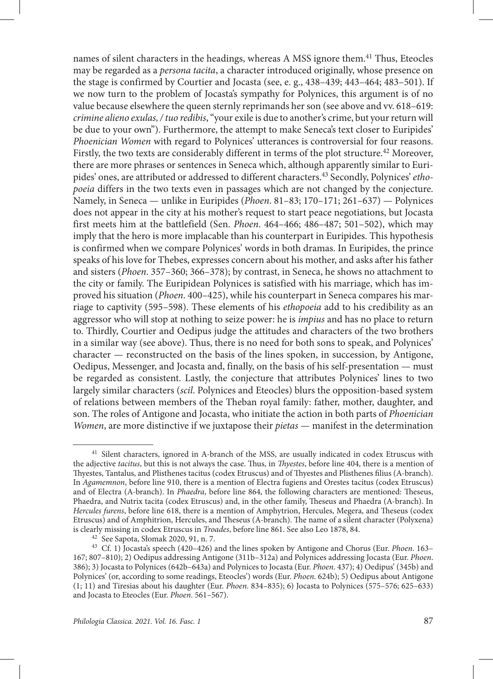names of silent characters in the headings, whereas A MSS ignore them.41 Thus, Eteocles may be regarded as a *persona tacita*, a character introduced originally, whose presence on the stage is confirmed by Courtier and Jocasta (see, e. g., 438–439; 443–464; 483–501). If we now turn to the problem of Jocasta's sympathy for Polynices, this argument is of no value because elsewhere the queen sternly reprimands her son (see above and vv. 618–619: *crimine alieno exulas, / tuo redibis*, "your exile is due to another's crime, but your return will be due to your own"). Furthermore, the attempt to make Seneca's text closer to Euripides' *Phoenician Women* with regard to Polynices' utterances is controversial for four reasons. Firstly, the two texts are considerably different in terms of the plot structure.<sup>42</sup> Moreover, there are more phrases or sentences in Seneca which, although apparently similar to Euripides' ones, are attributed or addressed to different characters.43 Secondly, Polynices' *ethopoeia* differs in the two texts even in passages which are not changed by the conjecture. Namely, in Seneca — unlike in Euripides (*Phoen*. 81–83; 170–171; 261–637) — Polynices does not appear in the city at his mother's request to start peace negotiations, but Jocasta first meets him at the battlefield (Sen. *Phoen*. 464–466; 486–487; 501–502), which may imply that the hero is more implacable than his counterpart in Euripides. This hypothesis is confirmed when we compare Polynices' words in both dramas. In Euripides, the prince speaks of his love for Thebes, expresses concern about his mother, and asks after his father and sisters (*Phoen*. 357–360; 366–378); by contrast, in Seneca, he shows no attachment to the city or family. The Euripidean Polynices is satisfied with his marriage, which has improved his situation (*Phoen*. 400–425), while his counterpart in Seneca compares his marriage to captivity (595–598). These elements of his *ethopoeia* add to his credibility as an aggressor who will stop at nothing to seize power: he is *impius* and has no place to return to. Thirdly, Courtier and Oedipus judge the attitudes and characters of the two brothers in a similar way (see above). Thus, there is no need for both sons to speak, and Polynices' character — reconstructed on the basis of the lines spoken, in succession, by Antigone, Oedipus, Messenger, and Jocasta and, finally, on the basis of his self-presentation — must be regarded as consistent. Lastly, the conjecture that attributes Polynices' lines to two largely similar characters (*scil*. Polynices and Eteocles) blurs the opposition-based system of relations between members of the Theban royal family: father, mother, daughter, and son. The roles of Antigone and Jocasta, who initiate the action in both parts of *Phoenician Women*, are more distinctive if we juxtapose their *pietas* — manifest in the determination

<sup>&</sup>lt;sup>41</sup> Silent characters, ignored in A-branch of the MSS, are usually indicated in codex Etruscus with the adjective *tacitus*, but this is not always the case. Thus, in *Thyestes*, before line 404, there is a mention of Thyestes, Tantalus, and Plisthenes tacitus (codex Etruscus) and of Thyestes and Plisthenes filius (A-branch). In *Agamemnon*, before line 910, there is a mention of Electra fugiens and Orestes tacitus (codex Etruscus) and of Electra (A-branch). In *Phaedra*, before line 864, the following characters are mentioned: Theseus, Phaedra, and Nutrix tacita (codex Etruscus) and, in the other family, Theseus and Phaedra (A-branch). In *Hercules furens*, before line 618, there is a mention of Amphytrion, Hercules, Megera, and Theseus (codex Etruscus) and of Amphitrion, Hercules, and Theseus (A-branch). The name of a silent character (Polyxena) is clearly missing in codex Etruscus in *Troades*, before line 861. See also Leo 1878, 84.

<sup>42</sup> See Sapota, Słomak 2020, 91, n. 7.

<sup>43</sup> Cf. 1) Jocasta's speech (420–426) and the lines spoken by Antigone and Chorus (Eur. *Phoen*. 163– 167; 807–810); 2) Oedipus addressing Antigone (311b–312a) and Polynices addressing Jocasta (Eur. *Phoen*. 386); 3) Jocasta to Polynices (642b–643a) and Polynices to Jocasta (Eur. *Phoen*. 437); 4) Oedipus' (345b) and Polynices' (or, according to some readings, Eteocles') words (Eur. *Phoen*. 624b); 5) Oedipus about Antigone (1; 11) and Tiresias about his daughter (Eur. *Phoen*. 834–835); 6) Jocasta to Polynices (575–576; 625–633) and Jocasta to Eteocles (Eur. *Phoen*. 561–567).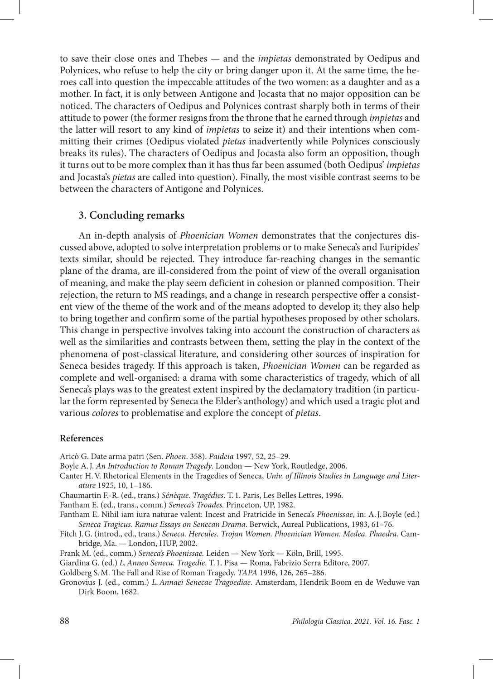to save their close ones and Thebes — and the *impietas* demonstrated by Oedipus and Polynices, who refuse to help the city or bring danger upon it. At the same time, the heroes call into question the impeccable attitudes of the two women: as a daughter and as a mother. In fact, it is only between Antigone and Jocasta that no major opposition can be noticed. The characters of Oedipus and Polynices contrast sharply both in terms of their attitude to power (the former resigns from the throne that he earned through *impietas* and the latter will resort to any kind of *impietas* to seize it) and their intentions when committing their crimes (Oedipus violated *pietas* inadvertently while Polynices consciously breaks its rules). The characters of Oedipus and Jocasta also form an opposition, though it turns out to be more complex than it has thus far been assumed (both Oedipus' *impietas* and Jocasta's *pietas* are called into question). Finally, the most visible contrast seems to be between the characters of Antigone and Polynices.

#### **3. Concluding remarks**

An in-depth analysis of *Phoenician Women* demonstrates that the conjectures discussed above, adopted to solve interpretation problems or to make Seneca's and Euripides' texts similar, should be rejected. They introduce far-reaching changes in the semantic plane of the drama, are ill-considered from the point of view of the overall organisation of meaning, and make the play seem deficient in cohesion or planned composition. Their rejection, the return to MS readings, and a change in research perspective offer a consistent view of the theme of the work and of the means adopted to develop it; they also help to bring together and confirm some of the partial hypotheses proposed by other scholars. This change in perspective involves taking into account the construction of characters as well as the similarities and contrasts between them, setting the play in the context of the phenomena of post-classical literature, and considering other sources of inspiration for Seneca besides tragedy. If this approach is taken, *Phoenician Women* can be regarded as complete and well-organised: a drama with some characteristics of tragedy, which of all Seneca's plays was to the greatest extent inspired by the declamatory tradition (in particular the form represented by Seneca the Elder's anthology) and which used a tragic plot and various *colores* to problematise and explore the concept of *pietas*.

#### **References**

Aricò G. Date arma patri (Sen. *Phoen*. 358). *Paideia* 1997, 52, 25–29.

Boyle A.J. *An Introduction to Roman Tragedy*. London — New York, Routledge, 2006.

- Canter H.V. Rhetorical Elements in the Tragedies of Seneca, *Univ. of Illinois Studies in Language and Literature* 1925, 10, 1–186.
- Chaumartin F.-R. (ed., trans.) *Sénèque. Tragédies*. T. 1. Paris, Les Belles Lettres, 1996.

Fantham E. (ed., trans., comm.) *Seneca's Troades.* Princeton, UP, 1982.

- Fantham E. Nihil iam iura naturae valent: Incest and Fratricide in Seneca's *Phoenissae*, in: A.J.Boyle (ed.) *Seneca Tragicus. Ramus Essays on Senecan Drama*. Berwick, Aureal Publications, 1983, 61–76.
- Fitch J.G. (introd., ed., trans.) *Seneca. Hercules. Trojan Women. Phoenician Women. Medea. Phaedra*. Cambridge, Ma. — London, HUP, 2002.
- Frank M. (ed., comm.) *Seneca's Phoenissae.* Leiden New York Köln, Brill, 1995.
- Giardina G. (ed.) *L.Anneo Seneca. Tragedie*. T. 1. Pisa Roma, Fabrizio Serra Editore, 2007.
- Goldberg S.M. The Fall and Rise of Roman Tragedy. *TAPA* 1996, 126, 265–286.
- Gronovius J. (ed., comm.) *L.Annaei Senecae Tragoediae*. Amsterdam, Hendrik Boom en de Weduwe van Dirk Boom, 1682.